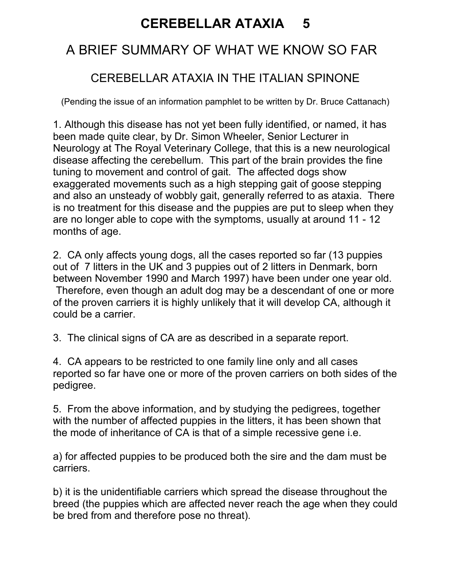## CEREBELLAR ATAXIA 5

### A BRIEF SUMMARY OF WHAT WE KNOW SO FAR

#### CEREBELLAR ATAXIA IN THE ITALIAN SPINONE

(Pending the issue of an information pamphlet to be written by Dr. Bruce Cattanach)

1. Although this disease has not yet been fully identified, or named, it has been made quite clear, by Dr. Simon Wheeler, Senior Lecturer in Neurology at The Royal Veterinary College, that this is a new neurological disease affecting the cerebellum. This part of the brain provides the fine tuning to movement and control of gait. The affected dogs show exaggerated movements such as a high stepping gait of goose stepping and also an unsteady of wobbly gait, generally referred to as ataxia. There is no treatment for this disease and the puppies are put to sleep when they are no longer able to cope with the symptoms, usually at around 11 - 12 months of age.

2. CA only affects young dogs, all the cases reported so far (13 puppies out of 7 litters in the UK and 3 puppies out of 2 litters in Denmark, born between November 1990 and March 1997) have been under one year old. Therefore, even though an adult dog may be a descendant of one or more of the proven carriers it is highly unlikely that it will develop CA, although it could be a carrier.

3. The clinical signs of CA are as described in a separate report.

4. CA appears to be restricted to one family line only and all cases reported so far have one or more of the proven carriers on both sides of the pedigree.

5. From the above information, and by studying the pedigrees, together with the number of affected puppies in the litters, it has been shown that the mode of inheritance of CA is that of a simple recessive gene i.e.

a) for affected puppies to be produced both the sire and the dam must be carriers.

b) it is the unidentifiable carriers which spread the disease throughout the breed (the puppies which are affected never reach the age when they could be bred from and therefore pose no threat).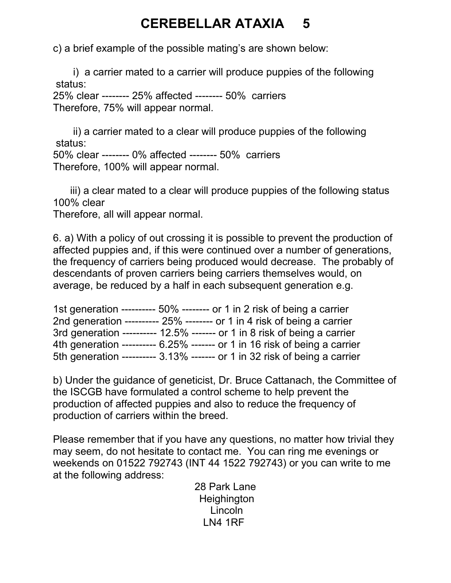## CEREBELLAR ATAXIA 5

c) a brief example of the possible mating's are shown below:

 i) a carrier mated to a carrier will produce puppies of the following status:

25% clear -------- 25% affected -------- 50% carriers Therefore, 75% will appear normal.

 ii) a carrier mated to a clear will produce puppies of the following status:

50% clear -------- 0% affected -------- 50% carriers Therefore, 100% will appear normal.

 iii) a clear mated to a clear will produce puppies of the following status 100% clear

Therefore, all will appear normal.

6. a) With a policy of out crossing it is possible to prevent the production of affected puppies and, if this were continued over a number of generations, the frequency of carriers being produced would decrease. The probably of descendants of proven carriers being carriers themselves would, on average, be reduced by a half in each subsequent generation e.g.

| 1st generation ---------- 50% -------- or 1 in 2 risk of being a carrier     |  |
|------------------------------------------------------------------------------|--|
| 2nd generation ---------- $25\%$ -------- or 1 in 4 risk of being a carrier  |  |
| 3rd generation ---------- $12.5\%$ ------- or 1 in 8 risk of being a carrier |  |
| 4th generation ---------- 6.25% ------- or 1 in 16 risk of being a carrier   |  |
| 5th generation ---------- 3.13% ------- or 1 in 32 risk of being a carrier   |  |

b) Under the guidance of geneticist, Dr. Bruce Cattanach, the Committee of the ISCGB have formulated a control scheme to help prevent the production of affected puppies and also to reduce the frequency of production of carriers within the breed.

Please remember that if you have any questions, no matter how trivial they may seem, do not hesitate to contact me. You can ring me evenings or weekends on 01522 792743 (INT 44 1522 792743) or you can write to me at the following address:

28 Park Lane **Heighington**  Lincoln LN4 1RF